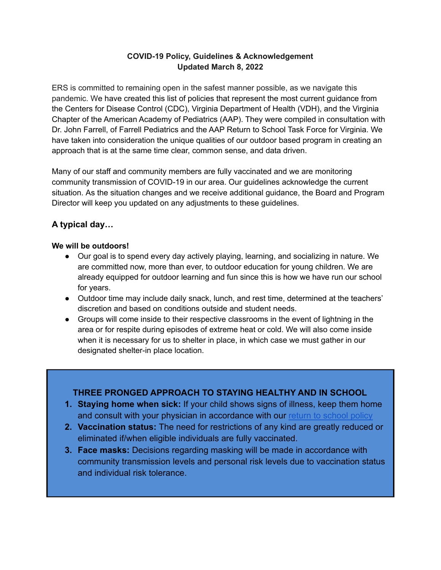### **COVID-19 Policy, Guidelines & Acknowledgement Updated March 8, 2022**

ERS is committed to remaining open in the safest manner possible, as we navigate this pandemic. We have created this list of policies that represent the most current guidance from the Centers for Disease Control (CDC), Virginia Department of Health (VDH), and the Virginia Chapter of the American Academy of Pediatrics (AAP). They were compiled in consultation with Dr. John Farrell, of Farrell Pediatrics and the AAP Return to School Task Force for Virginia. We have taken into consideration the unique qualities of our outdoor based program in creating an approach that is at the same time clear, common sense, and data driven.

Many of our staff and community members are fully vaccinated and we are monitoring community transmission of COVID-19 in our area. Our guidelines acknowledge the current situation. As the situation changes and we receive additional guidance, the Board and Program Director will keep you updated on any adjustments to these guidelines.

# **A typical day…**

### **We will be outdoors!**

- Our goal is to spend every day actively playing, learning, and socializing in nature. We are committed now, more than ever, to outdoor education for young children. We are already equipped for outdoor learning and fun since this is how we have run our school for years.
- Outdoor time may include daily snack, lunch, and rest time, determined at the teachers' discretion and based on conditions outside and student needs.
- Groups will come inside to their respective classrooms in the event of lightning in the area or for respite during episodes of extreme heat or cold. We will also come inside when it is necessary for us to shelter in place, in which case we must gather in our designated shelter-in place location.

### **THREE PRONGED APPROACH TO STAYING HEALTHY AND IN SCHOOL**

- **1. Staying home when sick:** If your child shows signs of illness, keep them home and consult with your physician in accordance with our [return to school policy](http://www.virginiapediatrics.org/mt-content/uploads/2022/01/chkd_permission-to-return-to-school-childcare-form_01.10.22-fillable.pdf)
- **2. Vaccination status:** The need for restrictions of any kind are greatly reduced or eliminated if/when eligible individuals are fully vaccinated.
- **3. Face masks:** Decisions regarding masking will be made in accordance with community transmission levels and personal risk levels due to vaccination status and individual risk tolerance.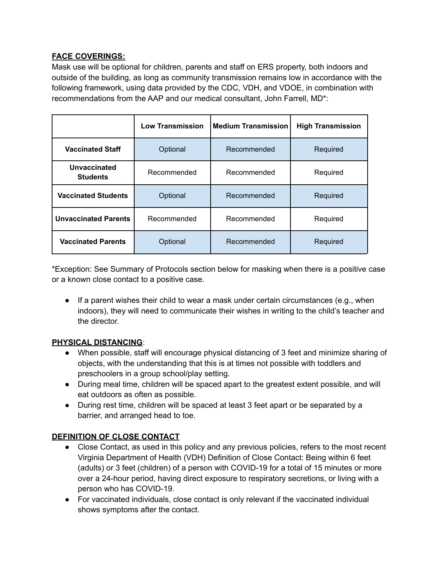### **FACE COVERINGS:**

Mask use will be optional for children, parents and staff on ERS property, both indoors and outside of the building, as long as community transmission remains low in accordance with the following framework, using data provided by the CDC, VDH, and VDOE, in combination with recommendations from the AAP and our medical consultant, John Farrell, MD\*:

|                                 | <b>Low Transmission</b> | <b>Medium Transmission</b> | <b>High Transmission</b> |
|---------------------------------|-------------------------|----------------------------|--------------------------|
| <b>Vaccinated Staff</b>         | Optional                | Recommended                | Required                 |
| Unvaccinated<br><b>Students</b> | Recommended             | Recommended                | Required                 |
| <b>Vaccinated Students</b>      | Optional                | Recommended                | Required                 |
| <b>Unvaccinated Parents</b>     | Recommended             | Recommended                | Required                 |
| <b>Vaccinated Parents</b>       | Optional                | Recommended                | Required                 |

\*Exception: See Summary of Protocols section below for masking when there is a positive case or a known close contact to a positive case.

● If a parent wishes their child to wear a mask under certain circumstances (e.g., when indoors), they will need to communicate their wishes in writing to the child's teacher and the director.

### **PHYSICAL DISTANCING**:

- When possible, staff will encourage physical distancing of 3 feet and minimize sharing of objects, with the understanding that this is at times not possible with toddlers and preschoolers in a group school/play setting.
- During meal time, children will be spaced apart to the greatest extent possible, and will eat outdoors as often as possible.
- During rest time, children will be spaced at least 3 feet apart or be separated by a barrier, and arranged head to toe.

## **DEFINITION OF CLOSE CONTACT**

- Close Contact, as used in this policy and any previous policies, refers to the most recent Virginia Department of Health (VDH) Definition of Close Contact: Being within 6 feet (adults) or 3 feet (children) of a person with COVID-19 for a total of 15 minutes or more over a 24-hour period, having direct exposure to respiratory secretions, or living with a person who has COVID-19.
- For vaccinated individuals, close contact is only relevant if the vaccinated individual shows symptoms after the contact.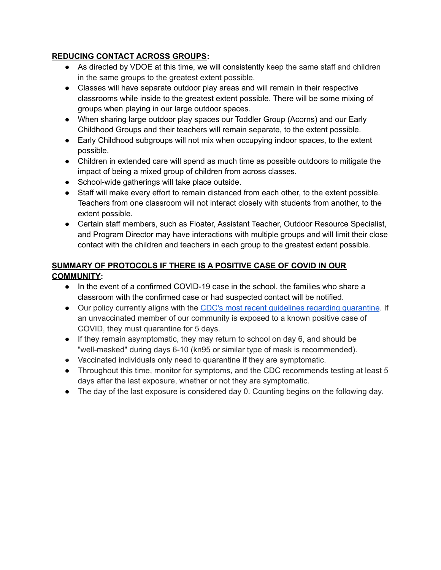### **REDUCING CONTACT ACROSS GROUPS:**

- As directed by VDOE at this time, we will consistently keep the same staff and children in the same groups to the greatest extent possible.
- Classes will have separate outdoor play areas and will remain in their respective classrooms while inside to the greatest extent possible. There will be some mixing of groups when playing in our large outdoor spaces.
- When sharing large outdoor play spaces our Toddler Group (Acorns) and our Early Childhood Groups and their teachers will remain separate, to the extent possible.
- Early Childhood subgroups will not mix when occupying indoor spaces, to the extent possible.
- Children in extended care will spend as much time as possible outdoors to mitigate the impact of being a mixed group of children from across classes.
- School-wide gatherings will take place outside.
- *●* Staff will make every effort to remain distanced from each other, to the extent possible. Teachers from one classroom will not interact closely with students from another, to the extent possible.
- Certain staff members, such as Floater, Assistant Teacher, Outdoor Resource Specialist, and Program Director may have interactions with multiple groups and will limit their close contact with the children and teachers in each group to the greatest extent possible.

# **SUMMARY OF PROTOCOLS IF THERE IS A POSITIVE CASE OF COVID IN OUR COMMUNITY:**

- In the event of a confirmed COVID-19 case in the school, the families who share a classroom with the confirmed case or had suspected contact will be notified.
- Our policy currently aligns with the CDC's most recent guidelines regarding [quarantine](https://www.cdc.gov/coronavirus/2019-ncov/your-health/quarantine-isolation.html). If an unvaccinated member of our community is exposed to a known positive case of COVID, they must quarantine for 5 days.
- If they remain asymptomatic, they may return to school on day 6, and should be "well-masked" during days 6-10 (kn95 or similar type of mask is recommended).
- Vaccinated individuals only need to quarantine if they are symptomatic.
- Throughout this time, monitor for symptoms, and the CDC recommends testing at least 5 days after the last exposure, whether or not they are symptomatic.
- The day of the last exposure is considered day 0. Counting begins on the following day.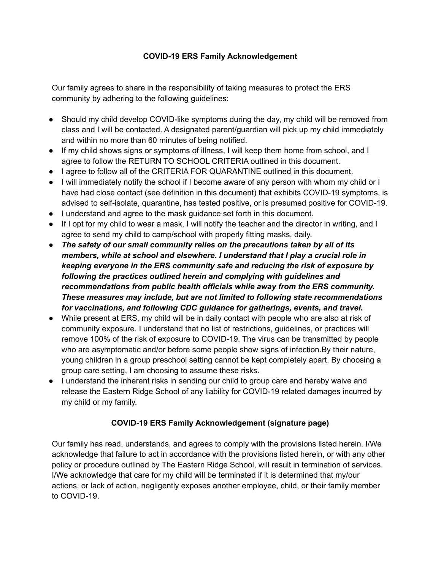#### **COVID-19 ERS Family Acknowledgement**

Our family agrees to share in the responsibility of taking measures to protect the ERS community by adhering to the following guidelines:

- Should my child develop COVID-like symptoms during the day, my child will be removed from class and I will be contacted. A designated parent/guardian will pick up my child immediately and within no more than 60 minutes of being notified.
- If my child shows signs or symptoms of illness, I will keep them home from school, and I agree to follow the RETURN TO SCHOOL CRITERIA outlined in this document.
- I agree to follow all of the CRITERIA FOR QUARANTINE outlined in this document.
- I will immediately notify the school if I become aware of any person with whom my child or I have had close contact (see definition in this document) that exhibits COVID-19 symptoms, is advised to self-isolate, quarantine, has tested positive, or is presumed positive for COVID-19.
- I understand and agree to the mask guidance set forth in this document.
- If I opt for my child to wear a mask, I will notify the teacher and the director in writing, and I agree to send my child to camp/school with properly fitting masks, daily.
- *● The safety of our small community relies on the precautions taken by all of its members, while at school and elsewhere. I understand that I play a crucial role in keeping everyone in the ERS community safe and reducing the risk of exposure by following the practices outlined herein and complying with guidelines and recommendations from public health officials while away from the ERS community. These measures may include, but are not limited to following state recommendations for vaccinations, and following CDC guidance for gatherings, events, and travel.*
- While present at ERS, my child will be in daily contact with people who are also at risk of community exposure. I understand that no list of restrictions, guidelines, or practices will remove 100% of the risk of exposure to COVID-19. The virus can be transmitted by people who are asymptomatic and/or before some people show signs of infection.By their nature, young children in a group preschool setting cannot be kept completely apart. By choosing a group care setting, I am choosing to assume these risks.
- I understand the inherent risks in sending our child to group care and hereby waive and release the Eastern Ridge School of any liability for COVID-19 related damages incurred by my child or my family.

### **COVID-19 ERS Family Acknowledgement (signature page)**

Our family has read, understands, and agrees to comply with the provisions listed herein. I/We acknowledge that failure to act in accordance with the provisions listed herein, or with any other policy or procedure outlined by The Eastern Ridge School, will result in termination of services. I/We acknowledge that care for my child will be terminated if it is determined that my/our actions, or lack of action, negligently exposes another employee, child, or their family member to COVID-19.